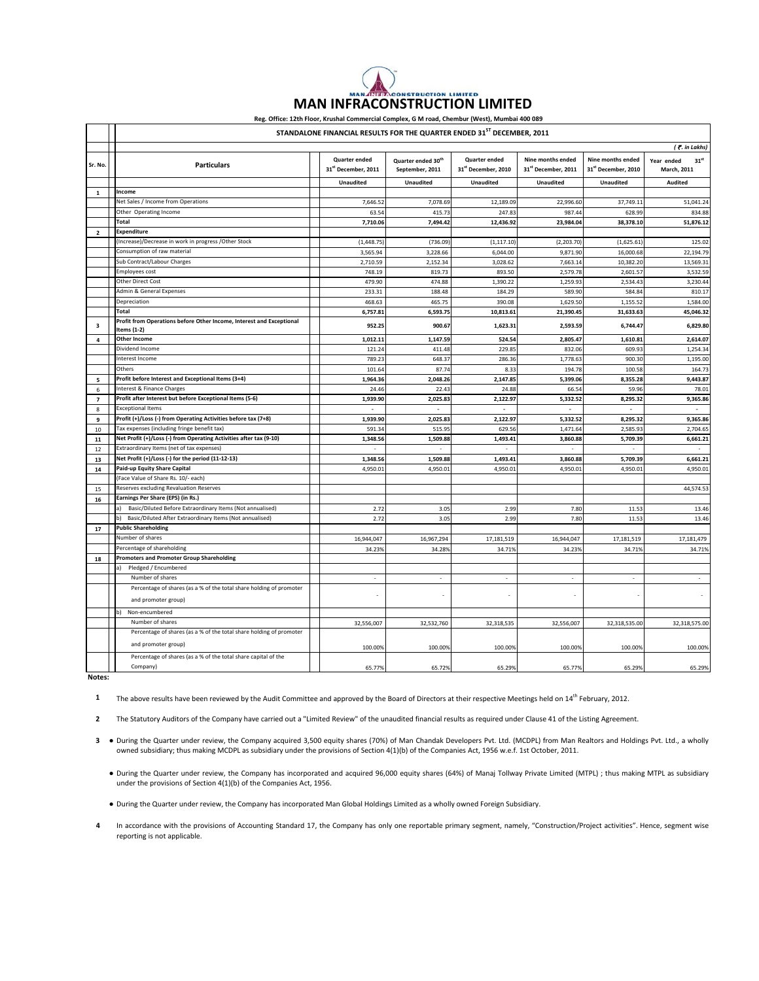|                          |                                                                                     | Reg. Office: 12th Floor, Krushal Commercial Complex, G M road, Chembur (West), Mumbai 400 089 |                                                   |                                      |                                          |                                          |                                        |
|--------------------------|-------------------------------------------------------------------------------------|-----------------------------------------------------------------------------------------------|---------------------------------------------------|--------------------------------------|------------------------------------------|------------------------------------------|----------------------------------------|
|                          | STANDALONE FINANCIAL RESULTS FOR THE QUARTER ENDED 31 <sup>ST</sup> DECEMBER, 2011  |                                                                                               |                                                   |                                      |                                          |                                          |                                        |
|                          |                                                                                     |                                                                                               |                                                   |                                      |                                          |                                          | (₹. in Lakhs)                          |
| Sr. No.                  | <b>Particulars</b>                                                                  | Quarter ended<br>31st December, 2011                                                          | Quarter ended 30 <sup>th</sup><br>September, 2011 | Quarter ended<br>31st December, 2010 | Nine months ended<br>31st December, 2011 | Nine months ended<br>31st December, 2010 | $31^{st}$<br>Year ended<br>March, 2011 |
|                          |                                                                                     | <b>Unaudited</b>                                                                              | <b>Unaudited</b>                                  | <b>Unaudited</b>                     | <b>Unaudited</b>                         | <b>Unaudited</b>                         | Audited                                |
| 1                        | Income                                                                              |                                                                                               |                                                   |                                      |                                          |                                          |                                        |
|                          | Net Sales / Income from Operations                                                  | 7,646.52                                                                                      | 7,078.69                                          | 12,189.09                            | 22,996.60                                | 37,749.1                                 | 51,041.24                              |
|                          | Other Operating Income                                                              | 63.54                                                                                         | 415.73                                            | 247.83                               | 987.44                                   | 628.99                                   | 834.88                                 |
|                          | <b>Total</b>                                                                        | 7,710.06                                                                                      | 7,494.42                                          | 12,436.92                            | 23,984.04                                | 38,378.10                                | 51,876.12                              |
| $\overline{2}$           | <b>Expenditure</b>                                                                  |                                                                                               |                                                   |                                      |                                          |                                          |                                        |
|                          | (Increase)/Decrease in work in progress /Other Stock                                | (1,448.75)                                                                                    | (736.09)                                          | (1, 117.10)                          | (2,203.70)                               | (1,625.61)                               | 125.02                                 |
|                          | Consumption of raw material                                                         | 3,565.94                                                                                      | 3,228.66                                          | 6,044.00                             | 9,871.90                                 | 16,000.68                                | 22.194.79                              |
|                          | Sub Contract/Labour Charges                                                         | 2,710.59                                                                                      | 2,152.34                                          | 3,028.62                             | 7,663.14                                 | 10,382.20                                | 13,569.31                              |
|                          | <b>Employees cost</b>                                                               | 748.19                                                                                        | 819.73                                            | 893.50                               | 2,579.78                                 | 2,601.57                                 | 3,532.59                               |
|                          | Other Direct Cost                                                                   | 479.90                                                                                        | 474.88                                            | 1,390.22                             | 1,259.93                                 | 2,534.43                                 | 3.230.44                               |
|                          | Admin & General Expenses                                                            | 233.31                                                                                        | 188.48                                            | 184.29                               | 589.90                                   | 584.84                                   | 810.17                                 |
|                          | Depreciation                                                                        | 468.63                                                                                        | 465.75                                            | 390.08                               | 1,629.50                                 | 1,155.52                                 | 1,584.00                               |
|                          | Total                                                                               | 6,757.81                                                                                      | 6,593.75                                          | 10,813.61                            | 21,390.45                                | 31,633.63                                | 45,046.32                              |
| 3                        | Profit from Operations before Other Income, Interest and Exceptional<br>Items (1-2) | 952.25                                                                                        | 900.67                                            | 1,623.31                             | 2,593.59                                 | 6,744.47                                 | 6,829.80                               |
| $\overline{a}$           | <b>Other Income</b>                                                                 | 1,012.11                                                                                      | 1,147.59                                          | 524.54                               | 2,805.47                                 | 1,610.81                                 | 2,614.07                               |
|                          | Dividend Income                                                                     | 121.24                                                                                        | 411.48                                            | 229.85                               | 832.06                                   | 609.93                                   | 1,254.34                               |
|                          | Interest Income                                                                     | 789.23                                                                                        | 648.37                                            | 286.36                               | 1,778.63                                 | 900.30                                   | 1,195.00                               |
|                          | Others                                                                              | 101.64                                                                                        | 87.74                                             | 8.33                                 | 194.78                                   | 100.58                                   | 164.73                                 |
| 5                        | Profit before Interest and Exceptional Items (3+4)                                  | 1,964.36                                                                                      | 2,048.26                                          | 2,147.85                             | 5,399.06                                 | 8,355.28                                 | 9,443.87                               |
| 6                        | Interest & Finance Charges                                                          | 24.46                                                                                         | 22.43                                             | 24.88                                | 66.54                                    | 59.96                                    | 78.01                                  |
| $\overline{\phantom{a}}$ | Profit after Interest but before Exceptional Items (5-6)                            | 1,939.90                                                                                      | 2,025.83                                          | 2,122.97                             | 5,332.52                                 | 8,295.32                                 | 9,365.86                               |
| $\mathbf{8}$             | <b>Exceptional Items</b>                                                            |                                                                                               |                                                   |                                      |                                          |                                          |                                        |
| 9                        | Profit (+)/Loss (-) from Operating Activities before tax (7+8)                      | 1,939.90                                                                                      | 2,025.83                                          | 2,122.97                             | 5,332.52                                 | 8,295.32                                 | 9,365.86                               |
| 10                       | Tax expenses (including fringe benefit tax)                                         | 591.34                                                                                        | 515.95                                            | 629.56                               | 1,471.64                                 | 2,585.93                                 | 2,704.65                               |
| 11                       | Net Profit (+)/Loss (-) from Operating Activities after tax (9-10)                  | 1,348.56                                                                                      | 1,509.88                                          | 1,493.41                             | 3,860.88                                 | 5,709.39                                 | 6,661.21                               |
| 12                       | Extraordinary Items (net of tax expenses)                                           |                                                                                               |                                                   |                                      |                                          |                                          | ×.                                     |
| 13                       | Net Profit (+)/Loss (-) for the period (11-12-13)                                   | 1,348.56                                                                                      | 1,509.88                                          | 1,493.41                             | 3,860.88                                 | 5,709.39                                 | 6,661.21                               |
| 14                       | Paid-up Equity Share Capital                                                        | 4,950.01                                                                                      | 4,950.01                                          | 4,950.0                              | 4,950.01                                 | 4,950.01                                 | 4,950.01                               |
|                          | (Face Value of Share Rs. 10/- each)                                                 |                                                                                               |                                                   |                                      |                                          |                                          |                                        |
| 15                       | Reserves excluding Revaluation Reserves                                             |                                                                                               |                                                   |                                      |                                          |                                          | 44,574.53                              |
| 16                       | Earnings Per Share (EPS) (in Rs.)                                                   |                                                                                               |                                                   |                                      |                                          |                                          |                                        |
|                          | Basic/Diluted Before Extraordinary Items (Not annualised)                           | 2.72                                                                                          | 3.05                                              | 2.99                                 | 7.80                                     | 11.53                                    | 13.46                                  |
|                          | Basic/Diluted After Extraordinary Items (Not annualised)                            | 2.72                                                                                          | 3.05                                              | 2.99                                 | 7.80                                     | 11.53                                    | 13.46                                  |
| 17                       | <b>Public Shareholding</b>                                                          |                                                                                               |                                                   |                                      |                                          |                                          |                                        |
|                          | Number of shares                                                                    | 16,944,047                                                                                    | 16,967,294                                        | 17,181,519                           | 16,944,047                               | 17,181,519                               | 17,181,479                             |
|                          | Percentage of shareholding                                                          | 34.23%                                                                                        | 34.28%                                            | 34.71%                               | 34.23%                                   | 34.71%                                   | 34.71%                                 |
| 18                       | <b>Promoters and Promoter Group Shareholding</b><br>Pledged / Encumbered<br>aì      |                                                                                               |                                                   |                                      |                                          |                                          |                                        |
|                          | Number of shares                                                                    | ä,                                                                                            |                                                   | $\sim$                               |                                          | ÷                                        |                                        |
|                          | Percentage of shares (as a % of the total share holding of promoter                 |                                                                                               |                                                   |                                      |                                          |                                          |                                        |
|                          | and promoter group)                                                                 |                                                                                               |                                                   |                                      |                                          |                                          |                                        |
|                          | Non-encumbered                                                                      |                                                                                               |                                                   |                                      |                                          |                                          |                                        |
|                          | Number of shares                                                                    | 32,556,007                                                                                    | 32,532,760                                        | 32,318,535                           | 32,556,007                               | 32,318,535.00                            | 32,318,575.00                          |
|                          | Percentage of shares (as a % of the total share holding of promoter                 |                                                                                               |                                                   |                                      |                                          |                                          |                                        |
|                          | and promoter group)                                                                 | 100.00%                                                                                       | 100.00%                                           | 100.00%                              | 100.00%                                  | 100.00%                                  | 100.00%                                |
|                          | Percentage of shares (as a % of the total share capital of the<br>Company)          | 65.77%                                                                                        | 65.72%                                            | 65.29%                               | 65.77%                                   | 65.29%                                   | 65.29%                                 |
| Notes:                   |                                                                                     |                                                                                               |                                                   |                                      |                                          |                                          |                                        |

 **MAN INFRACONSTRUCTION LIMITED**

**1** The above results have been reviewed by the Audit Committee and approved by the Board of Directors at their respective Meetings held on 14<sup>th</sup> February, 2012.

**2** The Statutory Auditors of the Company have carried out a "Limited Review" of the unaudited financial results as required under Clause 41 of the Listing Agreement.

**3 ●** During the Quarter under review, the Company acquired 3,500 equity shares (70%) of Man Chandak Developers Pvt. Ltd. (MCDPL) from Man Realtors and Holdings Pvt. Ltd., a wholly owned subsidiary; thus making MCDPL as subsidiary under the provisions of Section 4(1)(b) of the Companies Act, 1956 w.e.f. 1st October, 2011.

**●** During the Quarter under review, the Company has incorporated and acquired 96,000 equity shares (64%) of Manaj Tollway Private Limited (MTPL) ; thus making MTPL as subsidiary under the provisions of Section 4(1)(b) of the Companies Act, 1956.

**●** During the Quarter under review, the Company has incorporated Man Global Holdings Limited as a wholly owned Foreign Subsidiary.

**4** In accordance with the provisions of Accounting Standard 17, the Company has only one reportable primary segment, namely, "Construction/Project activities". Hence, segment wise reporting is not applicable.